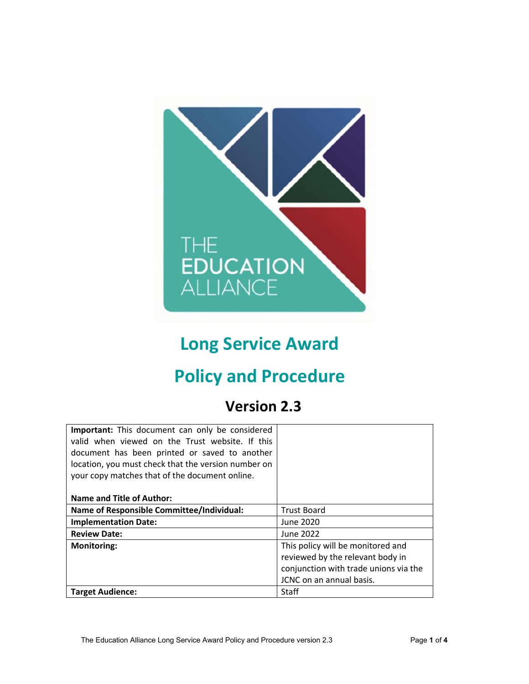

# **Long Service Award**

# **Policy and Procedure**

# **Version 2.3**

| <b>Important:</b> This document can only be considered<br>valid when viewed on the Trust website. If this<br>document has been printed or saved to another<br>location, you must check that the version number on<br>your copy matches that of the document online. |                                       |
|---------------------------------------------------------------------------------------------------------------------------------------------------------------------------------------------------------------------------------------------------------------------|---------------------------------------|
| <b>Name and Title of Author:</b>                                                                                                                                                                                                                                    |                                       |
| Name of Responsible Committee/Individual:                                                                                                                                                                                                                           | <b>Trust Board</b>                    |
| <b>Implementation Date:</b>                                                                                                                                                                                                                                         | June 2020                             |
| <b>Review Date:</b>                                                                                                                                                                                                                                                 | June 2022                             |
| <b>Monitoring:</b>                                                                                                                                                                                                                                                  | This policy will be monitored and     |
|                                                                                                                                                                                                                                                                     | reviewed by the relevant body in      |
|                                                                                                                                                                                                                                                                     | conjunction with trade unions via the |
|                                                                                                                                                                                                                                                                     | JCNC on an annual basis.              |
| <b>Target Audience:</b>                                                                                                                                                                                                                                             | Staff                                 |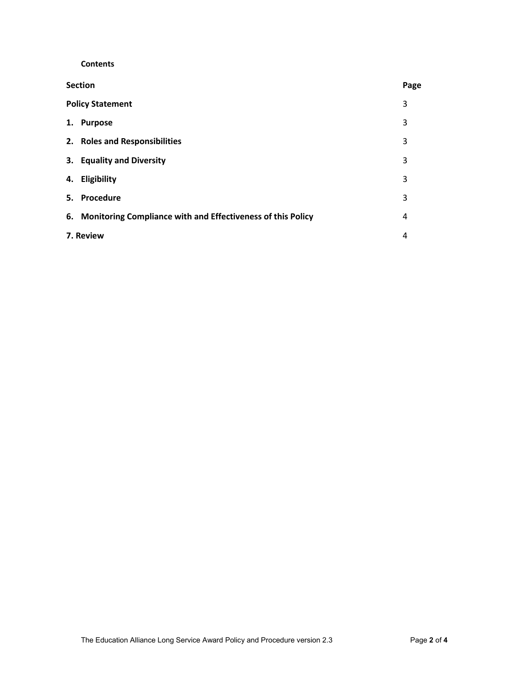**Contents** 

| <b>Section</b>                                                 | Page |
|----------------------------------------------------------------|------|
| <b>Policy Statement</b>                                        | 3    |
| <b>Purpose</b><br>1.                                           | 3    |
| 2. Roles and Responsibilities                                  | 3    |
| 3. Equality and Diversity                                      | 3    |
| 4. Eligibility                                                 | 3    |
| 5. Procedure                                                   | 3    |
| 6. Monitoring Compliance with and Effectiveness of this Policy | 4    |
| 7. Review                                                      | 4    |
|                                                                |      |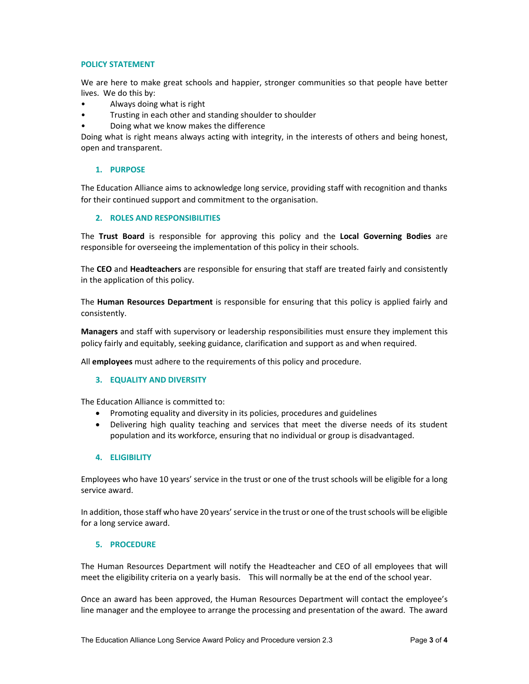#### **POLICY STATEMENT**

We are here to make great schools and happier, stronger communities so that people have better lives. We do this by:

- Always doing what is right
- Trusting in each other and standing shoulder to shoulder
- Doing what we know makes the difference

Doing what is right means always acting with integrity, in the interests of others and being honest, open and transparent.

#### **1. PURPOSE**

The Education Alliance aims to acknowledge long service, providing staff with recognition and thanks for their continued support and commitment to the organisation.

#### **2. ROLES AND RESPONSIBILITIES**

The **Trust Board**  is responsible for approving this policy and the **Local Governing Bodies** are responsible for overseeing the implementation of this policy in their schools.

The **CEO** and **Headteachers** are responsible for ensuring that staff are treated fairly and consistently in the application of this policy.

The **Human Resources Department** is responsible for ensuring that this policy is applied fairly and consistently.

**Managers** and staff with supervisory or leadership responsibilities must ensure they implement this policy fairly and equitably, seeking guidance, clarification and support as and when required.

All **employees** must adhere to the requirements of this policy and procedure.

### **3. EQUALITY AND DIVERSITY**

The Education Alliance is committed to:

- Promoting equality and diversity in its policies, procedures and guidelines
- Delivering high quality teaching and services that meet the diverse needs of its student population and its workforce, ensuring that no individual or group is disadvantaged.

#### **4. ELIGIBILITY**

Employees who have 10 years' service in the trust or one of the trust schools will be eligible for a long service award.

In addition, those staff who have 20 years' service in the trust or one of the trust schools will be eligible for a long service award.

#### **5. PROCEDURE**

The Human Resources Department will notify the Headteacher and CEO of all employees that will meet the eligibility criteria on a yearly basis. This will normally be at the end of the school year.

Once an award has been approved, the Human Resources Department will contact the employee's line manager and the employee to arrange the processing and presentation of the award. The award